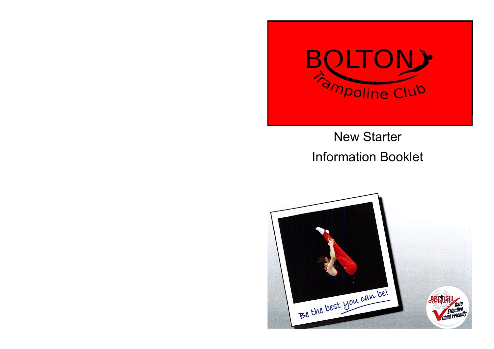

# New Starter Information Booklet

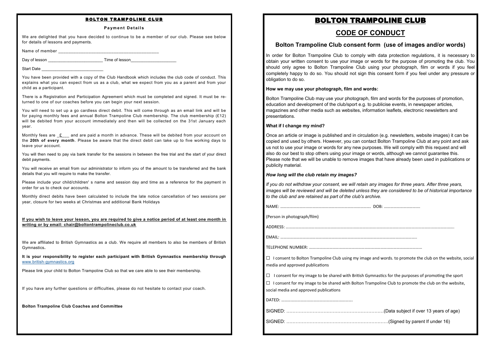#### **Payment Details**

We are delighted that you have decided to continue to be a member of our club. Please see below for details of lessons and payments.

Name of member  $\blacksquare$ 

Day of lesson **Day of Lesson Day of Lesson** 

Start Date

You have been provided with a copy of the Club Handbook which includes the club code of conduct. This explains what you can expect from us as a club, what we expect from you as a parent and from your child as a participant.

There is a Registration and Participation Agreement which must be completed and signed. It must be returned to one of our coaches before you can begin your next session.

You will need to set up a go cardless direct debit. This will come through as an email link and will be for paying monthly fees and annual Bolton Trampoline Club membership. The club membership (£12) will be debited from your account immediately and then will be collected on the 31st January each year.

Monthly fees are  $f$  and are paid a month in advance. These will be debited from your account on the **20th of every month**. Please be aware that the direct debit can take up to five working days to leave your account.

You will then need to pay via bank transfer for the sessions in between the free trial and the start of your direct debit payments.

You will receive an email from our administrator to inform you of the amount to be transferred and the bank details that you will require to make the transfer.

Please include your child/children' s name and session day and time as a reference for the payment in order for us to check our accounts.

Monthly direct debits have been calculated to include the late notice cancellation of two sessions per year, closure for two weeks at Christmas and additional Bank Holidays

**If you wish to leave your lesson, you are required to give a notice period of at least one month in writing or by email: chair@boltontrampolineclub.co.uk**

We are affiliated to British Gymnastics as a club. We require all members to also be members of British Gymnastics**.** 

**It is your responsibility to register each participant with British Gymnastics membership through**  [www.british-gymnastics.org](http://www.british-gymnastics.org)

Please link your child to Bolton Trampoline Club so that we care able to see their membership.

If you have any further questions or difficulties, please do not hesitate to contact your coach.

**Bolton Trampoline Club Coaches and Committee**

### BOLTON TRAMPOLINE CLUB

### **CODE OF CONDUCT**

#### **Bolton Trampoline Club consent form (use of images and/or words)**

In order for Bolton Trampoline Club to comply with data protection regulations, it is necessary to obtain your written consent to use your image or words for the purpose of promoting the club. You should only agree to Bolton Trampoline Club using your photograph, film or words if you feel completely happy to do so. You should not sign this consent form if you feel under any pressure or obligation to do so.

#### **How we may use your photograph, film and words:**

Bolton Trampoline Club may use your photograph, film and words for the purposes of promotion, education and development of the club/sport e.g. to publicise events, in newspaper articles, magazines and other media such as websites, information leaflets, electronic newsletters and presentations.

#### **What if I change my mind?**

Once an article or image is published and in circulation (e.g. newsletters, website images) it can be copied and used by others. However, you can contact Bolton Trampoline Club at any point and ask us not to use your image or words for any new purposes. We will comply with this request and will also do our best to stop others using your image or words, although we cannot guarantee this. Please note that we will be unable to remove images that have already been used in publications or publicity material.

#### *How long will the club retain my images?*

*If you do not withdraw your consent, we will retain any images for three years. After three years, images will be reviewed and will be deleted unless they are considered to be of historical importance to the club and are retained as part of the club's archive.* 

NAME: …………………………………………………………………………. DOB: …………………………….

(Person in photograph/film)

ADDRESS: ………………………………………………………………………….……………………………………………………………….

EMAIL: ………………………………………………………………………………………………………………..

TELEPHONE NUMBER: …….………………………………………………………………………………………

 $\Box$  I consent to Bolton Trampoline Club using my image and words. to promote the club on the website, social media and approved publications

□ I consent for my image to be shared with British Gymnastics for the purposes of promoting the sport

☐ I consent for my image to be shared with Bolton Trampoline Club to promote the club on the website, social media and approved publications

DATED: ………………………………………………………….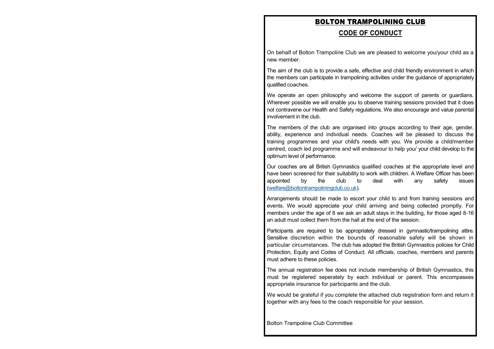### **CODE OF CONDUCT**

On behalf of Bolton Trampoline Club we are pleased to welcome you/your child as a new member.

The aim of the club is to provide a safe, effective and child friendly environment in which the members can participate in trampolining activities under the guidance of appropriately qualified coaches.

We operate an open philosophy and welcome the support of parents or guardians. Wherever possible we will enable you to observe training sessions provided that it does not contravene our Health and Safety regulations. We also encourage and value parental involvement in the club.

The members of the club are organised into groups according to their age, gender, ability, experience and individual needs. Coaches will be pleased to discuss the training programmes and your child's needs with you. We provide a child/member centred, coach led programme and will endeavour to help you/ your child develop to the optimum level of performance.

Our coaches are all British Gymnastics qualified coaches at the appropriate level and have been screened for their suitability to work with children. A Welfare Officer has been appointed by the club to deal with any safety issues [\(welfare@boltontrampoliningclub.co.uk\).](mailto:welfare@boltontrampoliningclub.co.uk)

Arrangements should be made to escort your child to and from training sessions and events. We would appreciate your child arriving and being collected promptly. For members under the age of 8 we ask an adult stays in the building, for those aged 8-16 an adult must collect them from the hall at the end of the session.

Participants are required to be appropriately dressed in gymnastic/trampolining attire. Sensitive discretion within the bounds of reasonable safety will be shown in particular circumstances. The club has adopted the British Gymnastics policies for Child Protection, Equity and Codes of Conduct. All officials, coaches, members and parents must adhere to these policies.

The annual registration fee does not include membership of British Gymnastics, this must be registered seperately by each individual or parent. This encompasses appropriate insurance for participants and the club.

We would be grateful if you complete the attached club registration form and return it together with any fees to the coach responsible for your session.

Bolton Trampoline Club Committee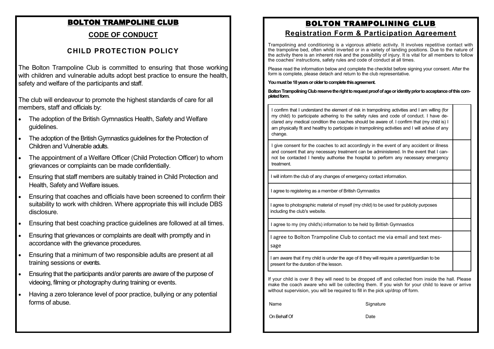# **CODE OF CONDUCT**

# **CHILD PROTECTION POLICY**

The Bolton Trampoline Club is committed to ensuring that those working with children and vulnerable adults adopt best practice to ensure the health. safety and welfare of the participants and staff.

The club will endeavour to promote the highest standards of care for all members, staff and officials by:

- The adoption of the British Gymnastics Health, Safety and Welfare guidelines.
- The adoption of the British Gymnastics guidelines for the Protection of Children and Vulnerable adults.
- The appointment of a Welfare Officer (Child Protection Officer) to whom grievances or complaints can be made confidentially.
- Ensuring that staff members are suitably trained in Child Protection and Health, Safety and Welfare issues.
- Ensuring that coaches and officials have been screened to confirm their suitability to work with children. Where appropriate this will include DBS disclosure.
- Ensuring that best coaching practice guidelines are followed at all times.
- Ensuring that grievances or complaints are dealt with promptly and in accordance with the grievance procedures.
- Ensuring that a minimum of two responsible adults are present at all training sessions or events.
- Ensuring that the participants and/or parents are aware of the purpose of videoing, filming or photography during training or events.
- Having a zero tolerance level of poor practice, bullying or any potential forms of abuse.

# BOLTON TRAMPOLINING CLUB **Registration Form & Participation Agreement**

Trampolining and conditioning is a vigorous athletic activity. It involves repetitive contact with the trampoline bed, often whilst inverted or in a variety of landing positions. Due to the nature of the activity there is an inherent risk and the possibility of injury. It is vital for all members to follow the coaches' instructions, safety rules and code of conduct at all times.

Please read the information below and complete the checklist before signing your consent. After the form is complete, please detach and return to the club representative.

#### **You must be 18 years or older to complete this agreement.**

#### **Bolton Trampolining Club reserve the right to request proof of age or identity prior to acceptance of this completed form.**

I confirm that I understand the element of risk in trampolining activities and I am willing (for my child) to participate adhering to the safety rules and code of conduct. I have declared any medical condition the coaches should be aware of. I confirm that (my child is) I am physically fit and healthy to participate in trampolining activities and I will advise of any change.

I give consent for the coaches to act accordingly in the event of any accident or illness and consent that any necessary treatment can be administered. In the event that I cannot be contacted I hereby authorise the hospital to perform any necessary emergency treatment.

I will inform the club of any changes of emergency contact information.

I agree to registering as a member of British Gymnastics

I agree to photographic material of myself (my child) to be used for publicity purposes including the club's website.

I agree to my (my child's) information to be held by British Gymnastics

I agree to Bolton Trampoline Club to contact me via email and text message

I am aware that if my child is under the age of 8 they will require a parent/guardian to be present for the duration of the lesson.

If your child is over 8 they will need to be dropped off and collected from inside the hall. Please make the coach aware who will be collecting them. If you wish for your child to leave or arrive without supervision, you will be required to fill in the pick up/drop off form.

Name Signature

On Behalf Of Date Date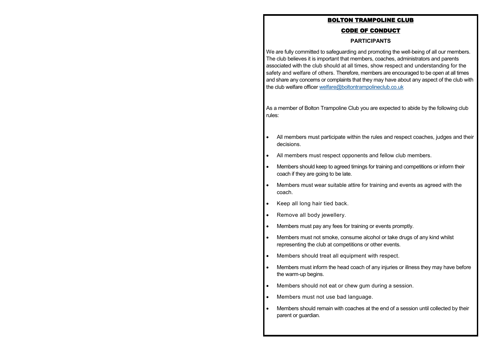### CODE OF CONDUCT

#### **PARTICIPANTS**

We are fully committed to safeguarding and promoting the well-being of all our members. The club believes it is important that members, coaches, administrators and parents associated with the club should at all times, show respect and understanding for the safety and welfare of others. Therefore, members are encouraged to be open at all times and share any concerns or complaints that they may have about any aspect of the club with the club welfare officer [welfare@boltontrampolineclub.co.uk](mailto:welfare@boltontrampolineclub.co.uk)

As a member of Bolton Trampoline Club you are expected to abide by the following club rules:

- All members must participate within the rules and respect coaches, judges and their decisions.
- All members must respect opponents and fellow club members.
- Members should keep to agreed timings for training and competitions or inform their coach if they are going to be late.
- Members must wear suitable attire for training and events as agreed with the coach.
- Keep all long hair tied back.
- Remove all body jewellery.
- Members must pay any fees for training or events promptly.
- Members must not smoke, consume alcohol or take drugs of any kind whilst representing the club at competitions or other events.
- Members should treat all equipment with respect.
- Members must inform the head coach of any injuries or illness they may have before the warm-up begins.
- Members should not eat or chew gum during a session.
- Members must not use bad language.
- Members should remain with coaches at the end of a session until collected by their parent or guardian.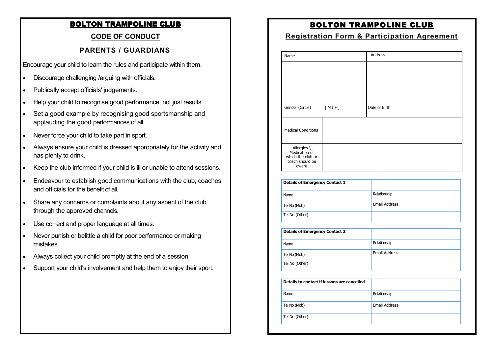# **CODE OF CONDUCT**

# **PARENTS / GUARDIANS**

Encourage your child to learn the rules and participate within them.

- Discourage challenging /arguing with officials.
- Publically accept officials' judgements.
- Help your child to recognise good performance, not just results.
- Set a good example by recognising good sportsmanship and applauding the good performances of all.
- Never force your child to take part in sport.
- Always ensure your child is dressed appropriately for the activity and has plenty to drink.
- Keep the club informed if your child is ill or unable to attend sessions.
- Endeavour to establish good communications with the club, coaches and officials for the benefit of all.
- Share any concerns or complaints about any aspect of the club through the approved channels.
- Use correct and proper language at all times.
- Never punish or belittle a child for poor performance or making mistakes.
- Always collect your child promptly at the end of a session.
- Support your child's involvement and help them to enjoy their sport.

# BOLTON TRAMPOLINE CLUB

### **Registration Form & Participation Agreement**

| Name                                                                          |       | Address       |
|-------------------------------------------------------------------------------|-------|---------------|
|                                                                               |       |               |
|                                                                               |       |               |
| Gender (Circle)                                                               | [MIF] | Date of Birth |
| <b>Medical Conditions</b>                                                     |       |               |
| Allergies \<br>Medication of<br>which the club or<br>coach should be<br>aware |       |               |

| <b>Details of Emergency Contact 1</b> |                      |
|---------------------------------------|----------------------|
| Name                                  | Relationship         |
| Tel No (Mob)                          | <b>Email Address</b> |
| Tel No (Other)                        |                      |

| <b>Details of Emergency Contact 2</b> |               |
|---------------------------------------|---------------|
| Name                                  | Relationship  |
| Tel No (Mob)                          | Email Address |
| Tel No (Other)                        |               |

| Details to contact if lessons are cancelled |               |
|---------------------------------------------|---------------|
| Name                                        | Relationship  |
| Tel No (Mob)                                | Email Address |
| Tel No (Other)                              |               |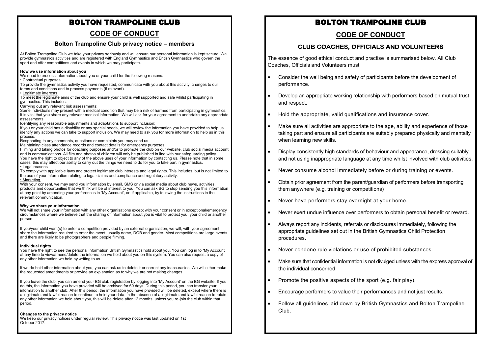### **CODE OF CONDUCT**

#### **Bolton Trampoline Club privacy notice – members**

At Bolton Trampoline Club we take your privacy seriously and will ensure our personal information is kept secure. We provide gymnastics activities and are registered with England Gymnastics and British Gymnastics who govern the sport and offer competitions and events in which we may participate.

#### **How we use information about you**

We need to process information about you or your child for the following reasons:

#### • Contractual purposes

To provide the gymnastics activity you have requested, communicate with you about this activity, changes to our terms and conditions and to process payments (if relevant).

#### • Legitimate interests

To meet the legitimate aims of the club and ensure your child is well supported and safe whilst participating in gymnastics. This includes:

Carrying out any relevant risk assessments:

Some individuals may present with a medical condition that may be a risk of harmed from participating in gymnastics. It is vital that you share any relevant medical information. We will ask for your agreement to undertake any appropriate assessments.

Identifying any reasonable adjustments and adaptations to support inclusion:

If you or your child has a disability or any special needs, we will review the information you have provided to help us identify any actions we can take to support inclusion. We may need to ask you for more information to help us in this process.

Responding to any comments, questions or complaints you may send us.

Maintaining class attendance records and contact details for emergency purposes.

Filming and taking photos for coaching purposes and/or to promote the club on our website, club social media account and in communications. All film and photos of children will only be published in line with our safeguarding policy. You have the right to object to any of the above uses of your information by contacting us. Please note that in some cases, this may affect our ability to carry out the things we need to do for you to take part in gymnastics. • Legal reasons

To comply with applicable laws and protect legitimate club interests and legal rights. This includes, but is not limited to the use of your information relating to legal claims and compliance and regulatory activity. • Marketing

#### With your consent, we may send you information by email, SMS or via social media about club news, activities, products and opportunities that we think will be of interest to you. You can ask BG to stop sending you this information at any point by amending your preferences in 'My Account', or, if applicable, by following the instructions in the relevant communication.

#### **Why we share your information**

We will not share your information with any other organisations except with your consent or in exceptional/emergency circumstances where we believe that the sharing of information about you is vital to protect you, your child or another person.

If you/your child want(s) to enter a competition provided by an external organisation, we will, with your agreement, share the information required to enter the event, usually name, DOB and gender. Most competitions are large events and there are likely to be photographers and people filming.

#### **Individual rights**

You have the right to see the personal information British Gymnastics hold about you. You can log in to 'My Account' at any time to view/amend/delete the information we hold about you on this system. You can also request a copy of any other information we hold by writing to us.

If we do hold other information about you, you can ask us to delete it or correct any inaccuracies. We will either make the requested amendments or provide an explanation as to why we are not making changes.

If you leave the club, you can amend your BG club registration by logging into 'My Account' on the BG website. If you do this, the information you have provided will be archived for 60 days. During this period, you can transfer your information to another club. After this period, the information you have provided will be deleted, except where there is a legitimate and lawful reason to continue to hold your data. In the absence of a legitimate and lawful reason to retain any other information we hold about you, this will be delete after 12 months, unless you re-join the club within that period.

#### **Changes to the privacy notice**

We keep our privacy notices under regular review. This privacy notice was last updated on 1st October 2017.

# BOLTON TRAMPOLINE CLUB

### **CODE OF CONDUCT**

### **CLUB COACHES, OFFICIALS AND VOLUNTEERS**

The essence of good ethical conduct and practise is summarised below. All Club Coaches, Officials and Volunteers must:

- Consider the well being and safety of participants before the development of performance.
- Develop an appropriate working relationship with performers based on mutual trust and respect.
- Hold the appropriate, valid qualifications and insurance cover.
- Make sure all activities are appropriate to the age, ability and experience of those taking part and ensure all participants are suitably prepared physically and mentally when learning new skills.
- Display consistently high standards of behaviour and appearance, dressing suitably and not using inappropriate language at any time whilst involved with club activities.
- Never consume alcohol immediately before or during training or events.
- Obtain prior agreement from the parent/guardian of performers before transporting them anywhere (e.g. training or competitions)
- Never have performers stay overnight at your home.
- Never exert undue influence over performers to obtain personal benefit or reward.
- Always report any incidents, referrals or disclosures immediately, following the appropriate guidelines set out in the British Gymnastics Child Protection procedures.
- Never condone rule violations or use of prohibited substances.
- Make sure that confidential information is not divulged unless with the express approval of the individual concerned.
- Promote the positive aspects of the sport (e.g. fair play).
- Encourage performers to value their performances and not just results.
- Follow all guidelines laid down by British Gymnastics and Bolton Trampoline Club.